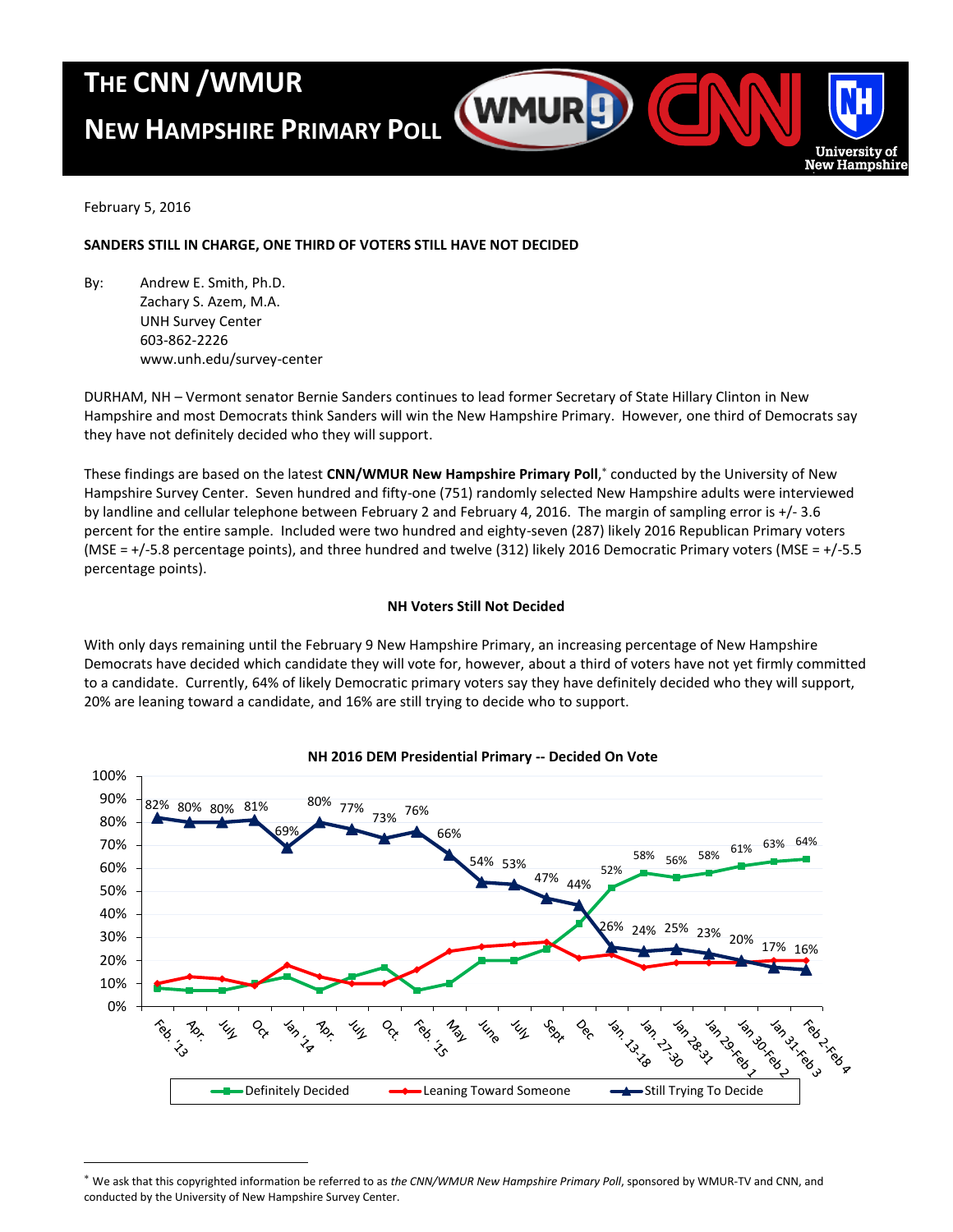## **THE CNN /WMUR**

# **NEW HAMPSHIRE PRIMARY POLL**



February 5, 2016

 $\overline{a}$ 

## **SANDERS STILL IN CHARGE, ONE THIRD OF VOTERS STILL HAVE NOT DECIDED**

By: Andrew E. Smith, Ph.D. Zachary S. Azem, M.A. UNH Survey Center 603-862-2226 www.unh.edu/survey-center

DURHAM, NH – Vermont senator Bernie Sanders continues to lead former Secretary of State Hillary Clinton in New Hampshire and most Democrats think Sanders will win the New Hampshire Primary. However, one third of Democrats say they have not definitely decided who they will support.

These findings are based on the latest **CNN/WMUR New Hampshire Primary Poll**, conducted by the University of New Hampshire Survey Center. Seven hundred and fifty-one (751) randomly selected New Hampshire adults were interviewed by landline and cellular telephone between February 2 and February 4, 2016. The margin of sampling error is +/- 3.6 percent for the entire sample. Included were two hundred and eighty-seven (287) likely 2016 Republican Primary voters (MSE = +/-5.8 percentage points), and three hundred and twelve (312) likely 2016 Democratic Primary voters (MSE = +/-5.5 percentage points).

## **NH Voters Still Not Decided**

With only days remaining until the February 9 New Hampshire Primary, an increasing percentage of New Hampshire Democrats have decided which candidate they will vote for, however, about a third of voters have not yet firmly committed to a candidate. Currently, 64% of likely Democratic primary voters say they have definitely decided who they will support, 20% are leaning toward a candidate, and 16% are still trying to decide who to support.



## **NH 2016 DEM Presidential Primary -- Decided On Vote**

We ask that this copyrighted information be referred to as *the CNN/WMUR New Hampshire Primary Poll*, sponsored by WMUR-TV and CNN, and conducted by the University of New Hampshire Survey Center.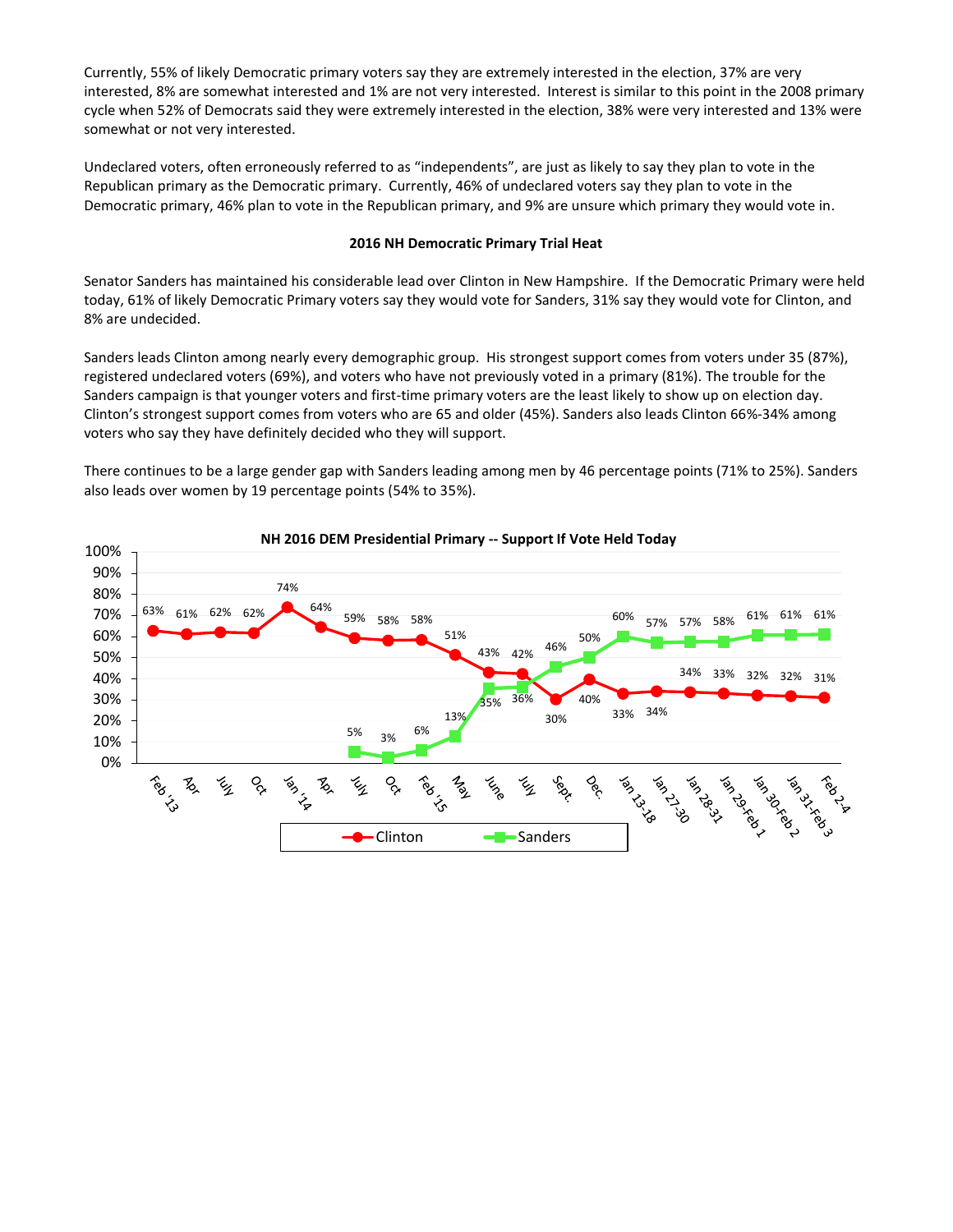Currently, 55% of likely Democratic primary voters say they are extremely interested in the election, 37% are very interested, 8% are somewhat interested and 1% are not very interested. Interest is similar to this point in the 2008 primary cycle when 52% of Democrats said they were extremely interested in the election, 38% were very interested and 13% were somewhat or not very interested.

Undeclared voters, often erroneously referred to as "independents", are just as likely to say they plan to vote in the Republican primary as the Democratic primary. Currently, 46% of undeclared voters say they plan to vote in the Democratic primary, 46% plan to vote in the Republican primary, and 9% are unsure which primary they would vote in.

#### **2016 NH Democratic Primary Trial Heat**

Senator Sanders has maintained his considerable lead over Clinton in New Hampshire. If the Democratic Primary were held today, 61% of likely Democratic Primary voters say they would vote for Sanders, 31% say they would vote for Clinton, and 8% are undecided.

Sanders leads Clinton among nearly every demographic group. His strongest support comes from voters under 35 (87%), registered undeclared voters (69%), and voters who have not previously voted in a primary (81%). The trouble for the Sanders campaign is that younger voters and first-time primary voters are the least likely to show up on election day. Clinton's strongest support comes from voters who are 65 and older (45%). Sanders also leads Clinton 66%-34% among voters who say they have definitely decided who they will support.

There continues to be a large gender gap with Sanders leading among men by 46 percentage points (71% to 25%). Sanders also leads over women by 19 percentage points (54% to 35%).



#### **NH 2016 DEM Presidential Primary -- Support If Vote Held Today**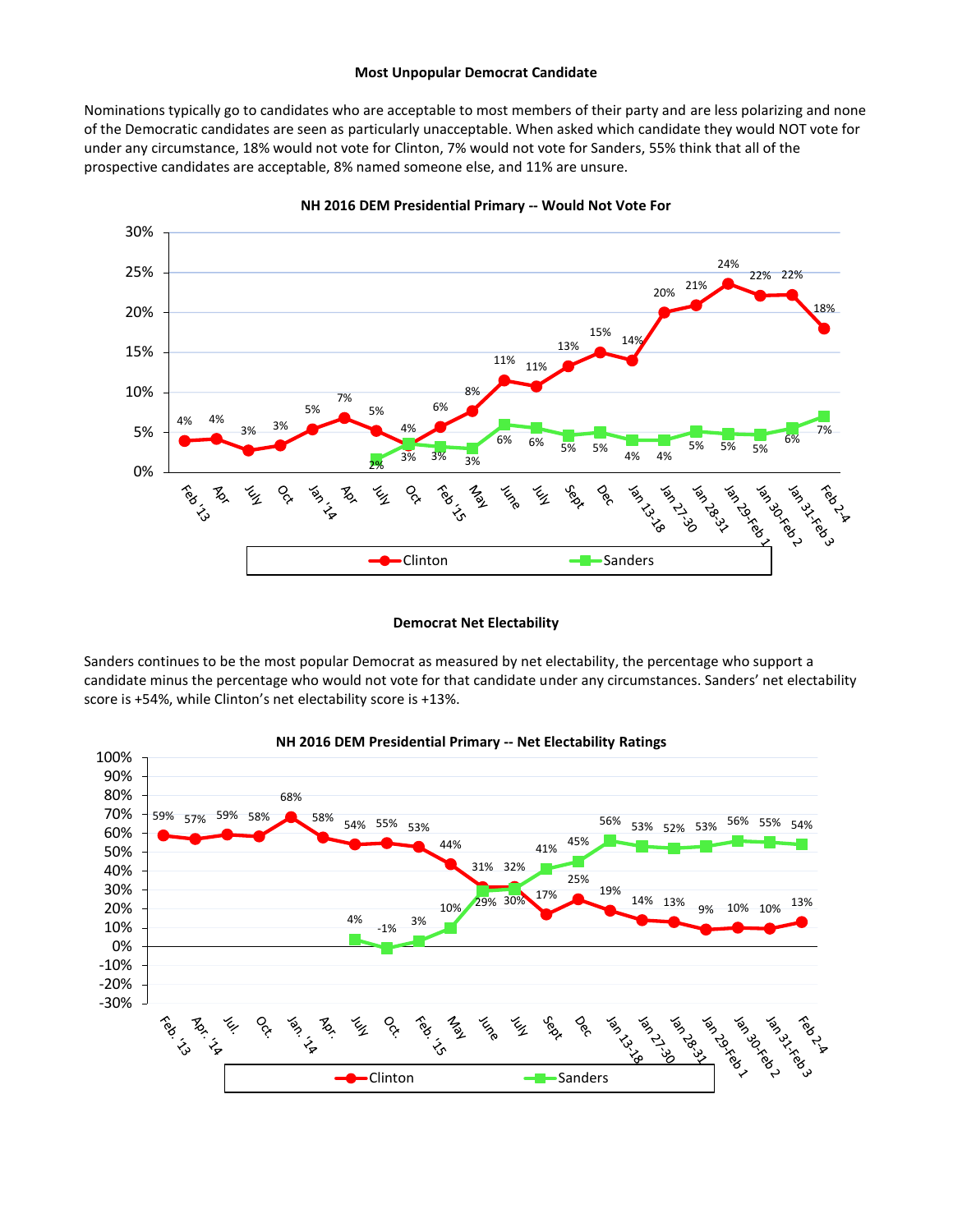#### **Most Unpopular Democrat Candidate**

Nominations typically go to candidates who are acceptable to most members of their party and are less polarizing and none of the Democratic candidates are seen as particularly unacceptable. When asked which candidate they would NOT vote for under any circumstance, 18% would not vote for Clinton, 7% would not vote for Sanders, 55% think that all of the prospective candidates are acceptable, 8% named someone else, and 11% are unsure.



**NH 2016 DEM Presidential Primary -- Would Not Vote For**

#### **Democrat Net Electability**

Sanders continues to be the most popular Democrat as measured by net electability, the percentage who support a candidate minus the percentage who would not vote for that candidate under any circumstances. Sanders' net electability score is +54%, while Clinton's net electability score is +13%.



#### **NH 2016 DEM Presidential Primary -- Net Electability Ratings**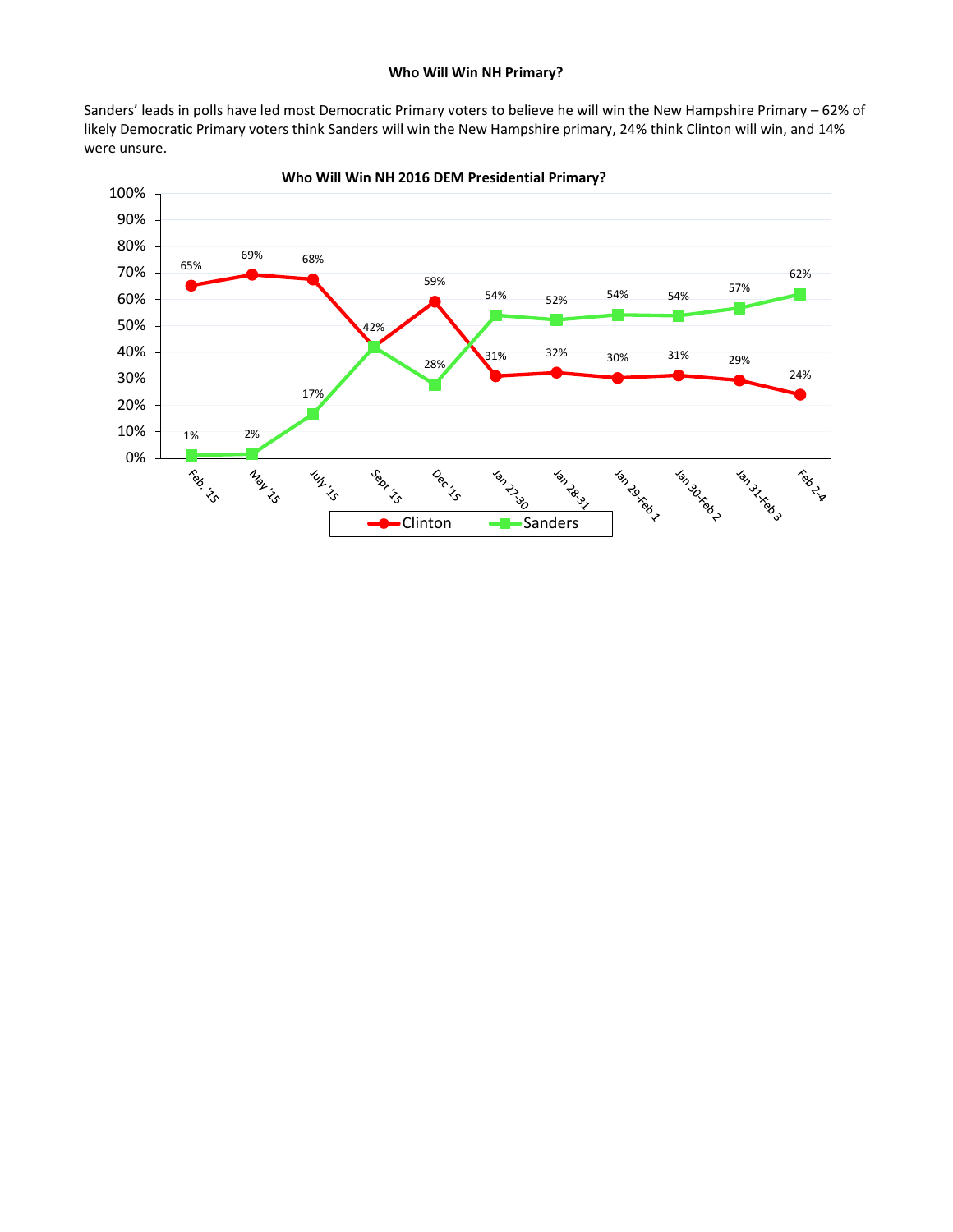### **Who Will Win NH Primary?**

Sanders' leads in polls have led most Democratic Primary voters to believe he will win the New Hampshire Primary – 62% of likely Democratic Primary voters think Sanders will win the New Hampshire primary, 24% think Clinton will win, and 14% were unsure.



**Who Will Win NH 2016 DEM Presidential Primary?**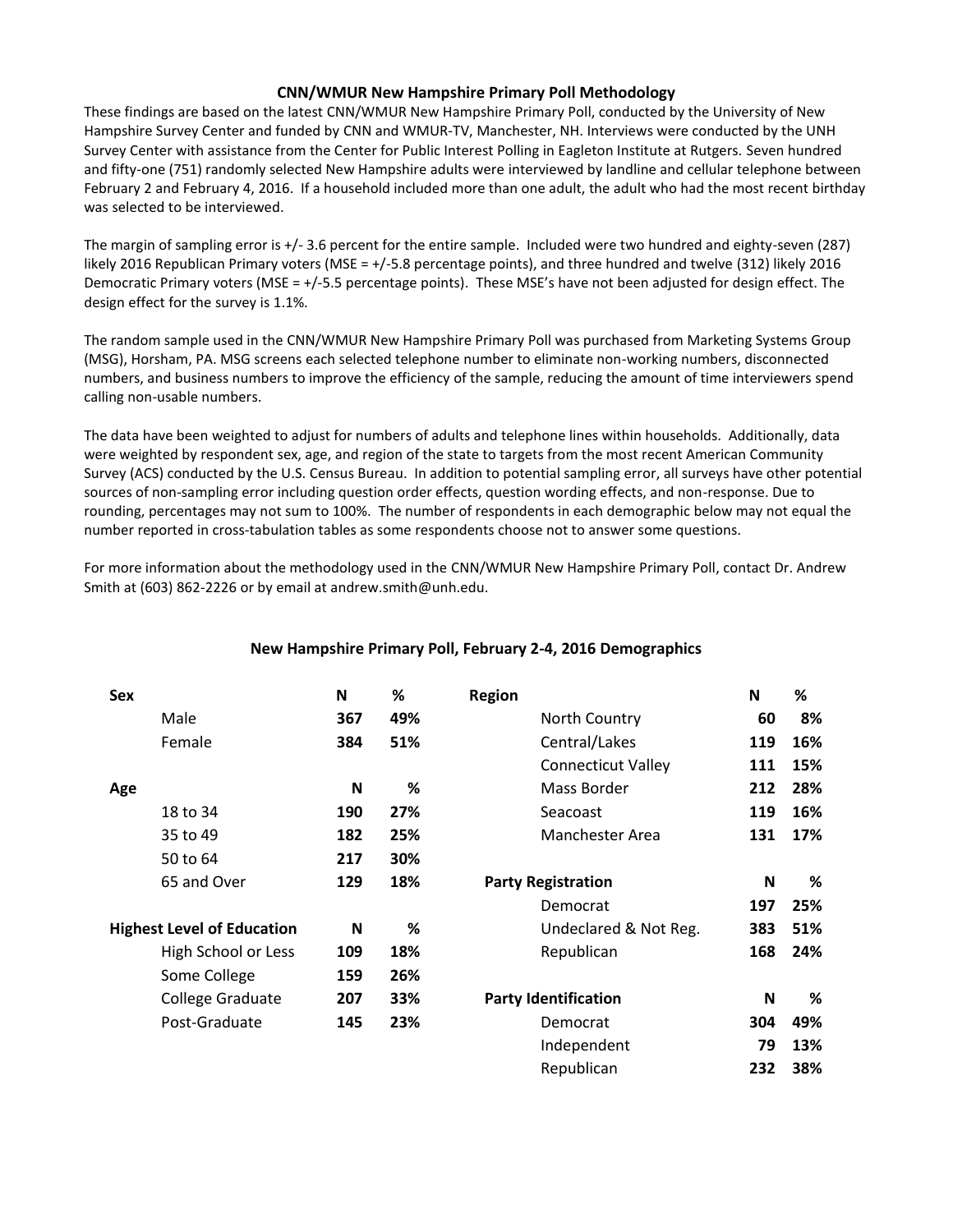## **CNN/WMUR New Hampshire Primary Poll Methodology**

These findings are based on the latest CNN/WMUR New Hampshire Primary Poll, conducted by the University of New Hampshire Survey Center and funded by CNN and WMUR-TV, Manchester, NH. Interviews were conducted by the UNH Survey Center with assistance from the Center for Public Interest Polling in Eagleton Institute at Rutgers. Seven hundred and fifty-one (751) randomly selected New Hampshire adults were interviewed by landline and cellular telephone between February 2 and February 4, 2016. If a household included more than one adult, the adult who had the most recent birthday was selected to be interviewed.

The margin of sampling error is +/- 3.6 percent for the entire sample. Included were two hundred and eighty-seven (287) likely 2016 Republican Primary voters (MSE = +/-5.8 percentage points), and three hundred and twelve (312) likely 2016 Democratic Primary voters (MSE = +/-5.5 percentage points). These MSE's have not been adjusted for design effect. The design effect for the survey is 1.1%.

The random sample used in the CNN/WMUR New Hampshire Primary Poll was purchased from Marketing Systems Group (MSG), Horsham, PA. MSG screens each selected telephone number to eliminate non-working numbers, disconnected numbers, and business numbers to improve the efficiency of the sample, reducing the amount of time interviewers spend calling non-usable numbers.

The data have been weighted to adjust for numbers of adults and telephone lines within households. Additionally, data were weighted by respondent sex, age, and region of the state to targets from the most recent American Community Survey (ACS) conducted by the U.S. Census Bureau. In addition to potential sampling error, all surveys have other potential sources of non-sampling error including question order effects, question wording effects, and non-response. Due to rounding, percentages may not sum to 100%. The number of respondents in each demographic below may not equal the number reported in cross-tabulation tables as some respondents choose not to answer some questions.

For more information about the methodology used in the CNN/WMUR New Hampshire Primary Poll, contact Dr. Andrew Smith at (603) 862-2226 or by email at andrew.smith@unh.edu.

| <b>Sex</b> |                                   | N   | %   | <b>Region</b>               | N   | %   |
|------------|-----------------------------------|-----|-----|-----------------------------|-----|-----|
|            | Male                              | 367 | 49% | North Country               | 60  | 8%  |
|            | Female                            | 384 | 51% | Central/Lakes               | 119 | 16% |
|            |                                   |     |     | <b>Connecticut Valley</b>   | 111 | 15% |
| Age        |                                   | N   | %   | Mass Border                 | 212 | 28% |
|            | 18 to 34                          | 190 | 27% | Seacoast                    | 119 | 16% |
|            | 35 to 49                          | 182 | 25% | Manchester Area             | 131 | 17% |
|            | 50 to 64                          | 217 | 30% |                             |     |     |
|            | 65 and Over                       | 129 | 18% | <b>Party Registration</b>   | N   | %   |
|            |                                   |     |     | Democrat                    | 197 | 25% |
|            | <b>Highest Level of Education</b> | N   | %   | Undeclared & Not Reg.       | 383 | 51% |
|            | High School or Less               | 109 | 18% | Republican                  | 168 | 24% |
|            | Some College                      | 159 | 26% |                             |     |     |
|            | College Graduate                  | 207 | 33% | <b>Party Identification</b> | N   | %   |
|            | Post-Graduate                     | 145 | 23% | Democrat                    | 304 | 49% |
|            |                                   |     |     | Independent                 | 79  | 13% |
|            |                                   |     |     | Republican                  | 232 | 38% |

## **New Hampshire Primary Poll, February 2-4, 2016 Demographics**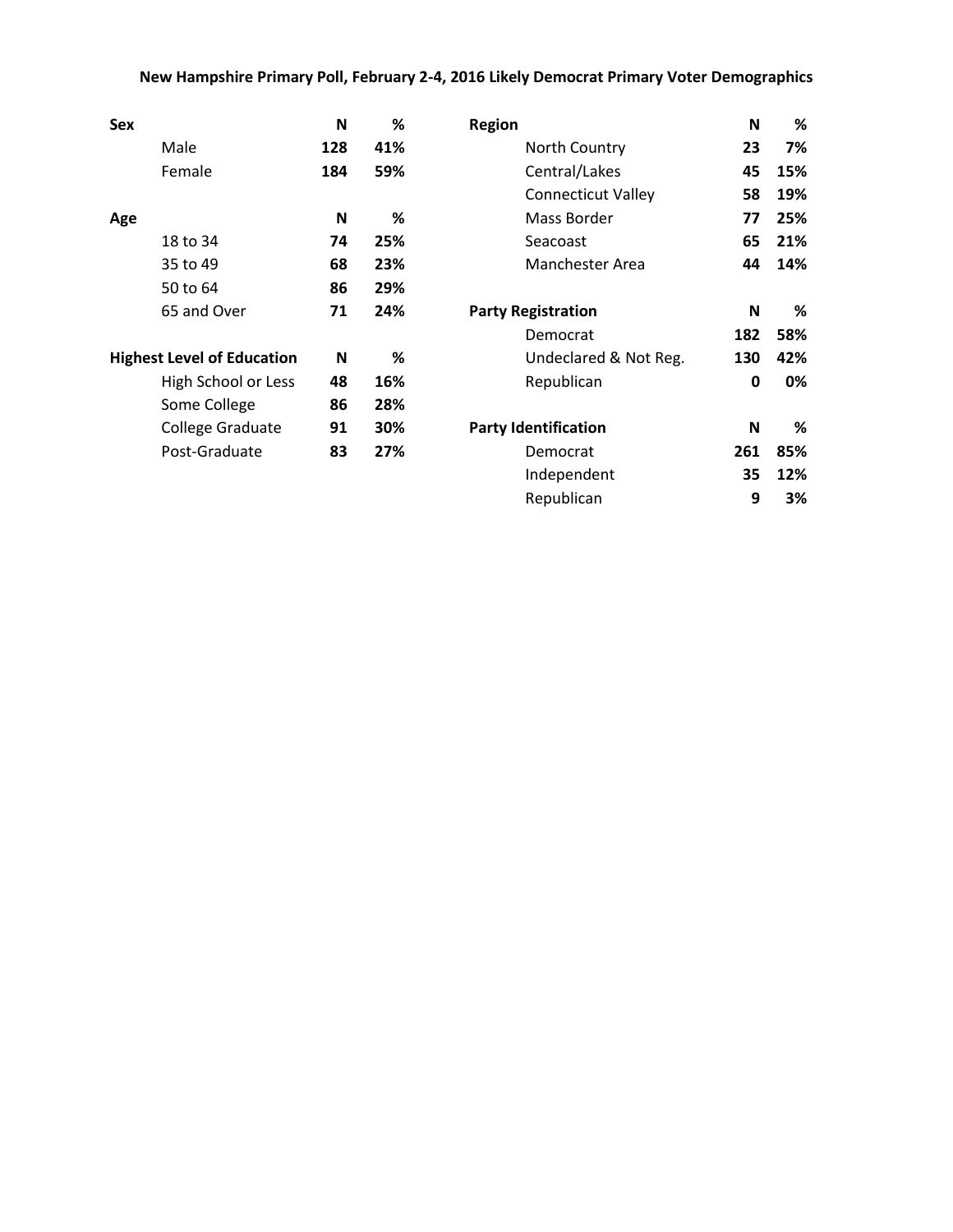## **New Hampshire Primary Poll, February 2-4, 2016 Likely Democrat Primary Voter Demographics**

| Sex                               | N   | %   | <b>Region</b>               | N   | %   |
|-----------------------------------|-----|-----|-----------------------------|-----|-----|
| Male                              | 128 | 41% | North Country               | 23  | 7%  |
| Female                            | 184 | 59% | Central/Lakes               | 45  | 15% |
|                                   |     |     | <b>Connecticut Valley</b>   | 58  | 19% |
| Age                               | N   | %   | Mass Border                 | 77  | 25% |
| 18 to 34                          | 74  | 25% | Seacoast                    | 65  | 21% |
| 35 to 49                          | 68  | 23% | Manchester Area             | 44  | 14% |
| 50 to 64                          | 86  | 29% |                             |     |     |
| 65 and Over                       | 71  | 24% | <b>Party Registration</b>   | N   | %   |
|                                   |     |     | Democrat                    | 182 | 58% |
| <b>Highest Level of Education</b> | N   | %   | Undeclared & Not Reg.       | 130 | 42% |
| High School or Less               | 48  | 16% | Republican                  | 0   | 0%  |
| Some College                      | 86  | 28% |                             |     |     |
| College Graduate                  | 91  | 30% | <b>Party Identification</b> | N   | %   |
| Post-Graduate                     | 83  | 27% | Democrat                    | 261 | 85% |
|                                   |     |     | Independent                 | 35  | 12% |
|                                   |     |     | Republican                  | 9   | 3%  |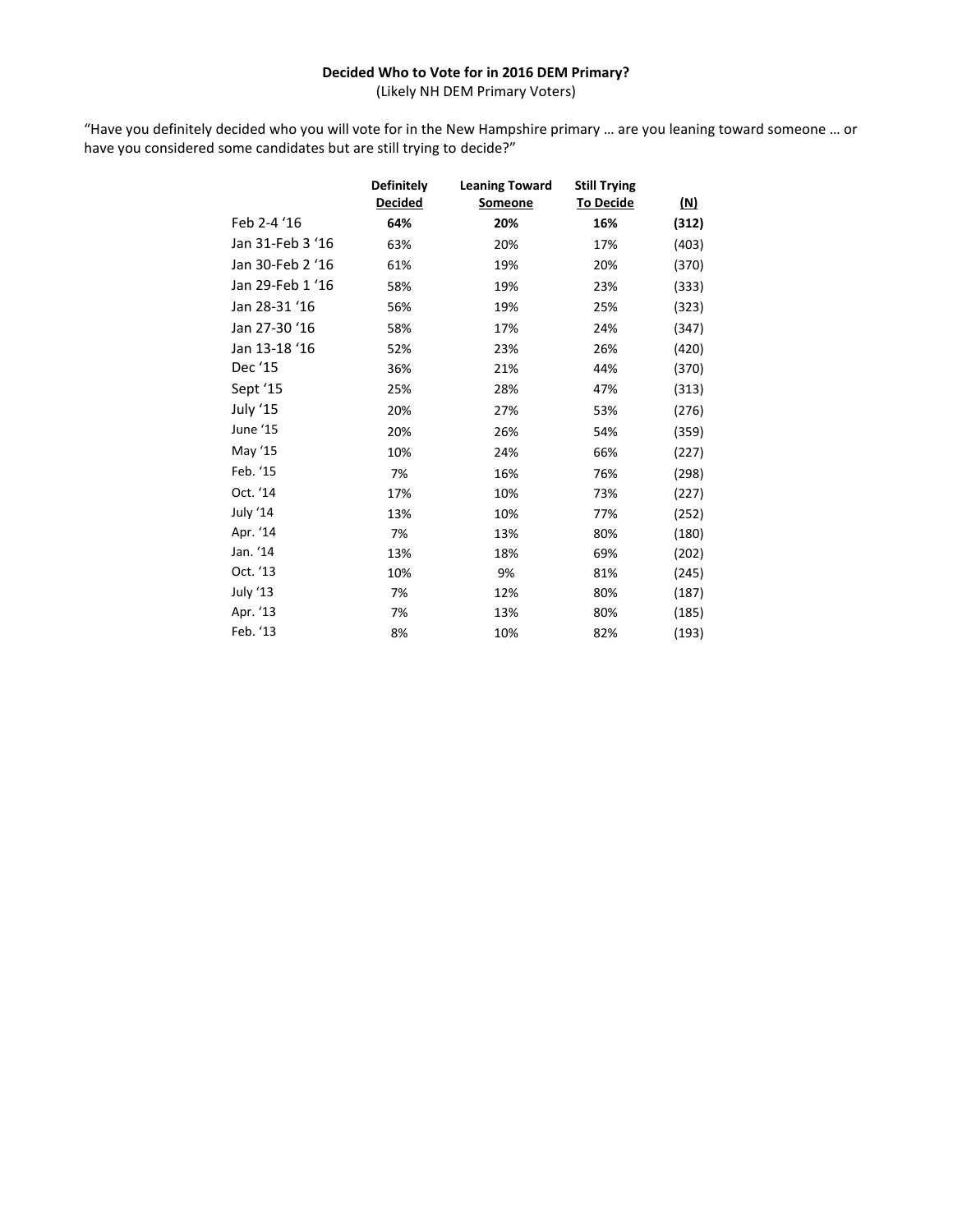## **Decided Who to Vote for in 2016 DEM Primary?**

(Likely NH DEM Primary Voters)

"Have you definitely decided who you will vote for in the New Hampshire primary … are you leaning toward someone … or have you considered some candidates but are still trying to decide?"

|                  | <b>Definitely</b> | <b>Leaning Toward</b> | <b>Still Trying</b> |            |
|------------------|-------------------|-----------------------|---------------------|------------|
|                  | <b>Decided</b>    | Someone               | <b>To Decide</b>    | <u>(N)</u> |
| Feb 2-4 '16      | 64%               | 20%                   | 16%                 | (312)      |
| Jan 31-Feb 3 '16 | 63%               | 20%                   | 17%                 | (403)      |
| Jan 30-Feb 2 '16 | 61%               | 19%                   | 20%                 | (370)      |
| Jan 29-Feb 1 '16 | 58%               | 19%                   | 23%                 | (333)      |
| Jan 28-31 '16    | 56%               | 19%                   | 25%                 | (323)      |
| Jan 27-30 '16    | 58%               | 17%                   | 24%                 | (347)      |
| Jan 13-18 '16    | 52%               | 23%                   | 26%                 | (420)      |
| Dec '15          | 36%               | 21%                   | 44%                 | (370)      |
| Sept '15         | 25%               | 28%                   | 47%                 | (313)      |
| July '15         | 20%               | 27%                   | 53%                 | (276)      |
| June '15         | 20%               | 26%                   | 54%                 | (359)      |
| May '15          | 10%               | 24%                   | 66%                 | (227)      |
| Feb. '15         | 7%                | 16%                   | 76%                 | (298)      |
| Oct. '14         | 17%               | 10%                   | 73%                 | (227)      |
| July '14         | 13%               | 10%                   | 77%                 | (252)      |
| Apr. '14         | 7%                | 13%                   | 80%                 | (180)      |
| Jan. '14         | 13%               | 18%                   | 69%                 | (202)      |
| Oct. '13         | 10%               | 9%                    | 81%                 | (245)      |
| July '13         | 7%                | 12%                   | 80%                 | (187)      |
| Apr. '13         | 7%                | 13%                   | 80%                 | (185)      |
| Feb. '13         | 8%                | 10%                   | 82%                 | (193)      |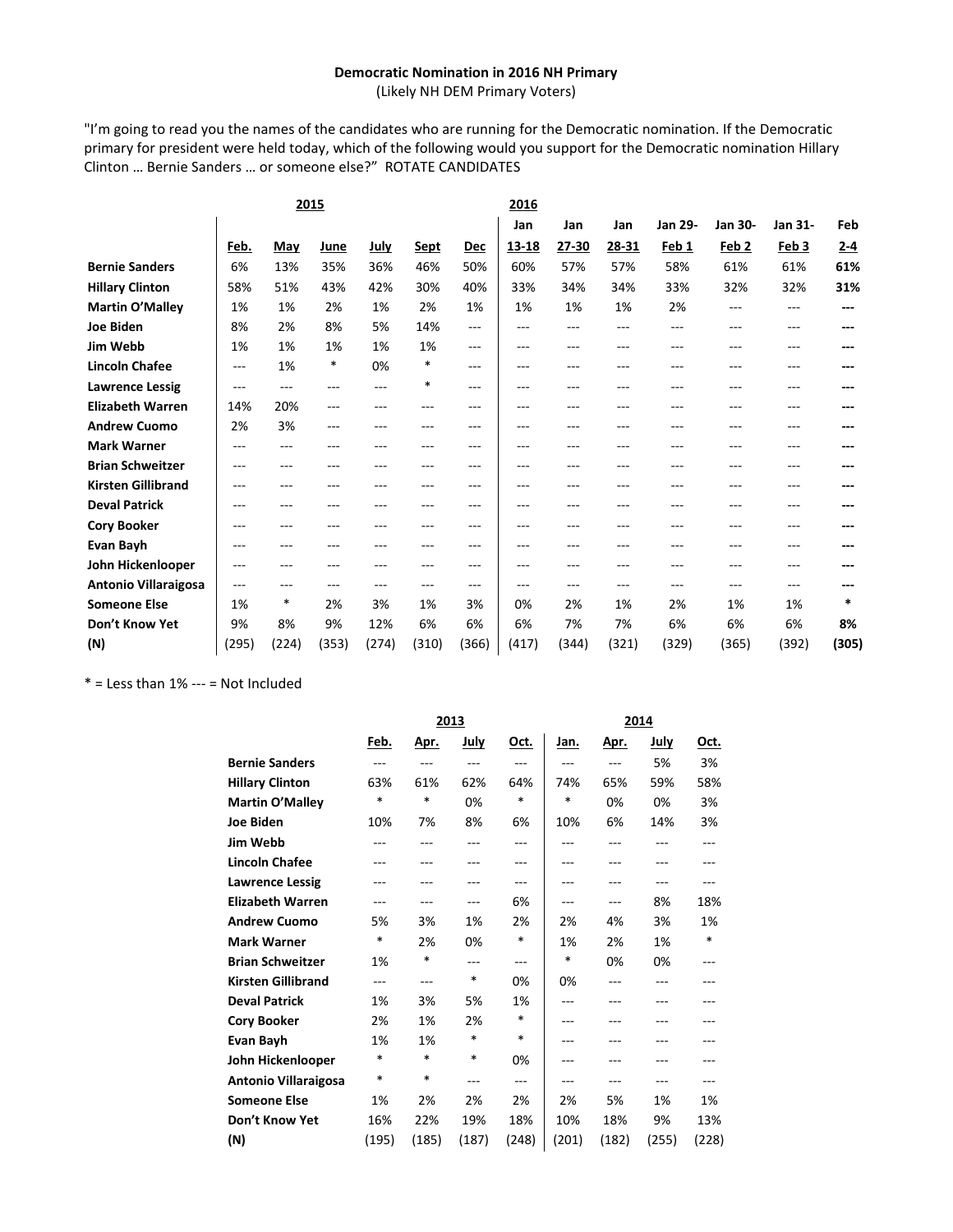#### **Democratic Nomination in 2016 NH Primary**

(Likely NH DEM Primary Voters)

"I'm going to read you the names of the candidates who are running for the Democratic nomination. If the Democratic primary for president were held today, which of the following would you support for the Democratic nomination Hillary Clinton … Bernie Sanders … or someone else?" ROTATE CANDIDATES

|         |       |       |         |        |         | 2016  |         |       |         |                  |         |         |
|---------|-------|-------|---------|--------|---------|-------|---------|-------|---------|------------------|---------|---------|
|         |       |       |         |        |         | Jan   | Jan     | Jan   | Jan 29- | <b>Jan 30-</b>   | Jan 31- | Feb     |
| Feb.    | May   | June  | July    | Sept   | Dec     | 13-18 | 27-30   | 28-31 | Feb 1   | Feb <sub>2</sub> | Feb 3   | $2 - 4$ |
| 6%      | 13%   | 35%   | 36%     | 46%    | 50%     | 60%   | 57%     | 57%   | 58%     | 61%              | 61%     | 61%     |
| 58%     | 51%   | 43%   | 42%     | 30%    | 40%     | 33%   | 34%     | 34%   | 33%     | 32%              | 32%     | 31%     |
| 1%      | 1%    | 2%    | 1%      | 2%     | 1%      | 1%    | 1%      | 1%    | 2%      | ---              | ---     | ---     |
| 8%      | 2%    | 8%    | 5%      | 14%    | $---$   | ---   | $---$   | ---   | ---     | ---              | ---     | ---     |
| 1%      | 1%    | 1%    | 1%      | 1%     | $---$   | ---   | $- - -$ | ---   | $- - -$ | ---              | ---     |         |
| $---$   | 1%    | *     | 0%      | *      | $---$   | ---   | $- - -$ | ---   | ---     | ---              | ---     |         |
| $---$   | $---$ | $---$ | $---$   | $\ast$ | $---$   | ---   | $- - -$ | $ -$  | $- - -$ | ---              | ---     | ---     |
| 14%     | 20%   | $---$ | ---     | ---    | $- - -$ | ---   | $- - -$ | ---   | ---     | ---              | ---     |         |
| 2%      | 3%    | $---$ | $- - -$ | ---    | $---$   | ---   | $- - -$ | ---   | $- - -$ | ---              | ---     |         |
| $- - -$ | ---   | $---$ | ---     | ---    | $- - -$ | ---   | $- - -$ | ---   | ---     | ---              | ---     |         |
| ---     | ---   | ---   | ---     | ---    | $---$   | ---   | $- - -$ | ---   | ---     | ---              | ---     |         |
| ---     | ---   | ---   | ---     | ---    | $---$   | ---   | $---$   | ---   | ---     | ---              | ---     |         |
| ---     | $---$ | $---$ | ---     | ---    | $---$   | ---   | $---$   | ---   | $---$   | ---              | ---     |         |
| $---$   | $---$ | ---   | ---     | ---    | $---$   | ---   | $---$   | ---   | ---     | ---              | ---     |         |
| ---     | ---   | ---   | ---     | ---    | $---$   | ---   | $- - -$ | ---   | ---     | ---              | ---     | ---     |
| ---     | ---   | ---   | ---     |        | $- - -$ | ---   | $- - -$ |       | ---     | ---              | ---     |         |
| ---     | $---$ | ---   | ---     | $---$  | $---$   | ---   | $---$   | ---   | ---     | ---              | ---     |         |
| 1%      | *     | 2%    | 3%      | 1%     | 3%      | 0%    | 2%      | 1%    | 2%      | 1%               | 1%      | $\ast$  |
| 9%      | 8%    | 9%    | 12%     | 6%     | 6%      | 6%    | 7%      | 7%    | 6%      | 6%               | 6%      | 8%      |
| (295)   | (224) | (353) | (274)   | (310)  | (366)   | (417) | (344)   | (321) | (329)   | (365)            | (392)   | (305)   |
|         |       |       | 2015    |        |         |       |         |       |         |                  |         |         |

 $*$  = Less than 1% --- = Not Included

|                             |        |        | 2013  |             |       |       |             |       |
|-----------------------------|--------|--------|-------|-------------|-------|-------|-------------|-------|
|                             | Feb.   | Apr.   | July  | <u>Oct.</u> | Jan.  | Apr.  | <u>July</u> | Oct.  |
| <b>Bernie Sanders</b>       | ---    | $---$  | $---$ | $\cdots$    | ---   | ---   | 5%          | 3%    |
| <b>Hillary Clinton</b>      | 63%    | 61%    | 62%   | 64%         | 74%   | 65%   | 59%         | 58%   |
| Martin O'Malley             | *      | $\ast$ | 0%    | *           | *     | 0%    | 0%          | 3%    |
| <b>Joe Biden</b>            | 10%    | 7%     | 8%    | 6%          | 10%   | 6%    | 14%         | 3%    |
| Jim Webb                    |        |        |       | ---         |       |       |             | ---   |
| <b>Lincoln Chafee</b>       |        |        |       | ---         | ---   |       |             |       |
| <b>Lawrence Lessig</b>      |        | ---    |       | ---         | ---   | ---   |             | ---   |
| <b>Elizabeth Warren</b>     | ---    | ---    | $---$ | 6%          | ---   | ---   | 8%          | 18%   |
| <b>Andrew Cuomo</b>         | 5%     | 3%     | 1%    | 2%          | 2%    | 4%    | 3%          | 1%    |
| <b>Mark Warner</b>          | *      | 2%     | 0%    | *           | 1%    | 2%    | 1%          | *     |
| <b>Brian Schweitzer</b>     | 1%     | *      | ---   | $---$       | *     | 0%    | 0%          | ---   |
| <b>Kirsten Gillibrand</b>   | ---    | ---    | *     | 0%          | 0%    |       |             |       |
| <b>Deval Patrick</b>        | 1%     | 3%     | 5%    | 1%          | ---   |       |             |       |
| <b>Cory Booker</b>          | 2%     | 1%     | 2%    | *           | ---   | ---   |             |       |
| Evan Bayh                   | 1%     | 1%     | *     | *           | ---   | ---   |             |       |
| John Hickenlooper           | *      | $\ast$ | *     | 0%          |       |       |             |       |
| <b>Antonio Villaraigosa</b> | $\ast$ | $\ast$ | $---$ | $---$       | ---   | ---   |             | ---   |
| <b>Someone Else</b>         | 1%     | 2%     | 2%    | 2%          | 2%    | 5%    | 1%          | 1%    |
| Don't Know Yet              | 16%    | 22%    | 19%   | 18%         | 10%   | 18%   | 9%          | 13%   |
| (N)                         | (195)  | (185)  | (187) | (248)       | (201) | (182) | (255)       | (228) |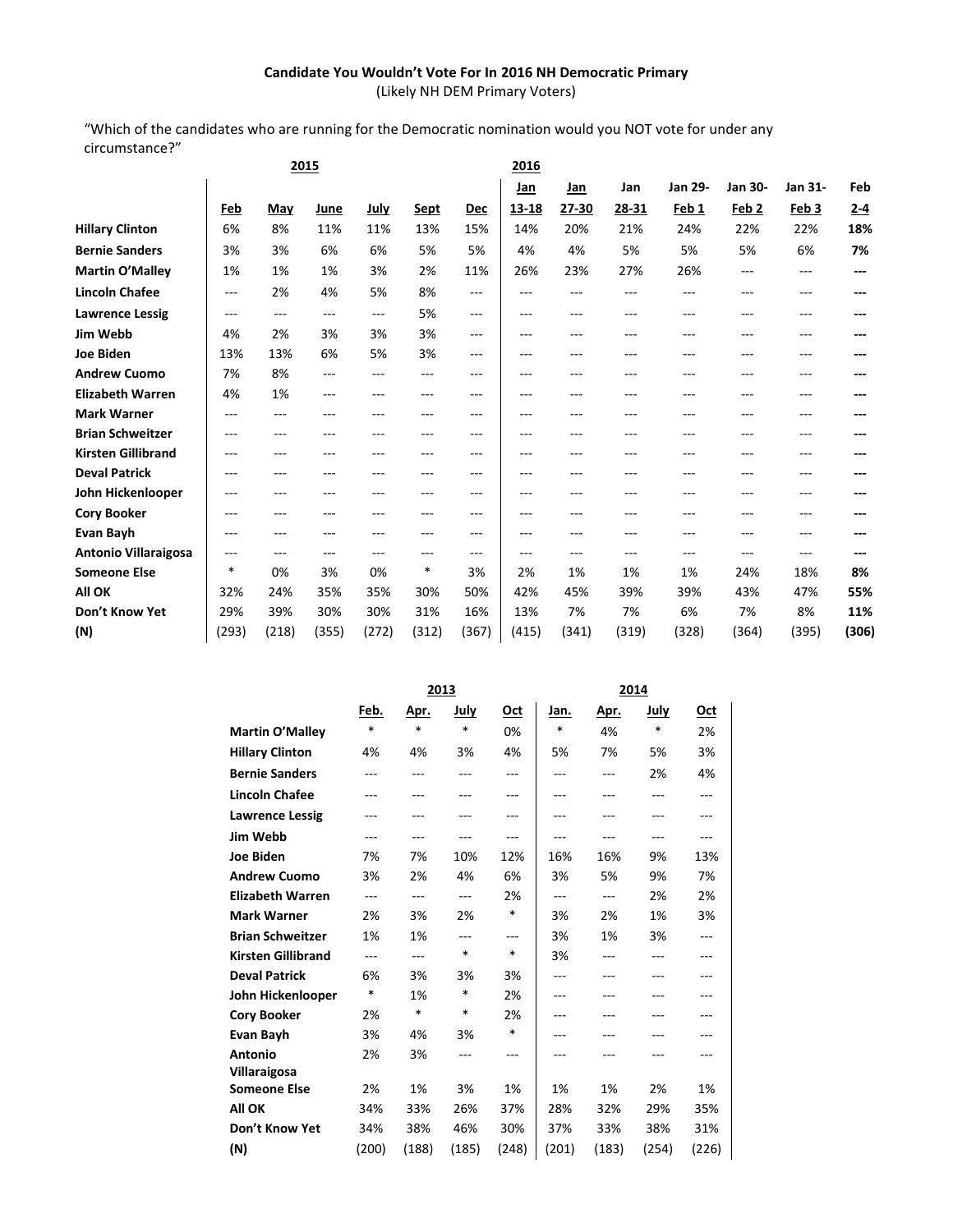## **Candidate You Wouldn't Vote For In 2016 NH Democratic Primary**

(Likely NH DEM Primary Voters)

"Which of the candidates who are running for the Democratic nomination would you NOT vote for under any circumstance?"

|                             |          |       | 2015     |                   |             |            | 2016    |         |       |                |                  |                  |         |
|-----------------------------|----------|-------|----------|-------------------|-------------|------------|---------|---------|-------|----------------|------------------|------------------|---------|
|                             |          |       |          |                   |             |            | Jan     | Jan     | Jan   | <b>Jan 29-</b> | Jan 30-          | Jan 31-          | Feb     |
|                             | Feb      | May   | June     | <b>July</b>       | <b>Sept</b> | <b>Dec</b> | 13-18   | 27-30   | 28-31 | Feb 1          | Feb <sub>2</sub> | Feb <sub>3</sub> | $2 - 4$ |
| <b>Hillary Clinton</b>      | 6%       | 8%    | 11%      | 11%               | 13%         | 15%        | 14%     | 20%     | 21%   | 24%            | 22%              | 22%              | 18%     |
| <b>Bernie Sanders</b>       | 3%       | 3%    | 6%       | 6%                | 5%          | 5%         | 4%      | 4%      | 5%    | 5%             | 5%               | 6%               | 7%      |
| <b>Martin O'Malley</b>      | 1%       | 1%    | 1%       | 3%                | 2%          | 11%        | 26%     | 23%     | 27%   | 26%            | $---$            | ---              | ---     |
| <b>Lincoln Chafee</b>       | $\cdots$ | 2%    | 4%       | 5%                | 8%          | $---$      | ---     | ---     | ---   | $---$          | ---              | ---              | ---     |
| <b>Lawrence Lessig</b>      | ---      | $---$ | $\cdots$ | $---$             | 5%          | $---$      | $---$   | $---$   | ---   | ---            | ---              | ---              |         |
| Jim Webb                    | 4%       | 2%    | 3%       | 3%                | 3%          | $---$      | $---$   | $---$   | ---   | ---            | ---              | ---              |         |
| <b>Joe Biden</b>            | 13%      | 13%   | 6%       | 5%                | 3%          | ---        | ---     | $---$   | ---   | $---$          |                  | ---              |         |
| <b>Andrew Cuomo</b>         | 7%       | 8%    | ---      | $\qquad \qquad -$ | ---         | ---        | $---$   | $---$   | $---$ | ---            | ---              | ---              | ---     |
| <b>Elizabeth Warren</b>     | 4%       | 1%    | ---      | $- - -$           | $---$       | ---        | $- - -$ | $---$   | ---   | $---$          | ---              | ---              |         |
| <b>Mark Warner</b>          | $- - -$  | $---$ | ---      | ---               | $- - -$     | $---$      | $- - -$ | $- - -$ | ---   | ---            | ---              | ---              | ---     |
| <b>Brian Schweitzer</b>     | $---$    | ---   |          | ---               | ---         | ---        | ---     | ---     | ---   | ---            |                  | ---              |         |
| <b>Kirsten Gillibrand</b>   | $---$    | ---   |          | ---               | ---         | ---        | ---     | ---     |       | ---            | ---              | ---              |         |
| <b>Deval Patrick</b>        | ---      | ---   | ---      | ---               | ---         | ---        | ---     | ---     | ---   | ---            | ---              | ---              |         |
| John Hickenlooper           | $- - -$  | ---   | ---      | ---               | ---         | ---        | ---     | ---     | ---   | ---            | ---              | ---              |         |
| <b>Cory Booker</b>          | $- - -$  | ---   | ---      | ---               | ---         | ---        | ---     | ---     | ---   | ---            | ---              | ---              |         |
| Evan Bayh                   | $---$    | ---   |          | ---               | ---         | ---        | ---     |         | ---   | ---            |                  | ---              |         |
| <b>Antonio Villaraigosa</b> | ---      | ---   | ---      | ---               | $---$       | ---        | ---     | $---$   | $---$ | ---            | $---$            | ---              | ---     |
| <b>Someone Else</b>         | $\ast$   | 0%    | 3%       | 0%                | *           | 3%         | 2%      | 1%      | 1%    | 1%             | 24%              | 18%              | 8%      |
| <b>All OK</b>               | 32%      | 24%   | 35%      | 35%               | 30%         | 50%        | 42%     | 45%     | 39%   | 39%            | 43%              | 47%              | 55%     |
| Don't Know Yet              | 29%      | 39%   | 30%      | 30%               | 31%         | 16%        | 13%     | 7%      | 7%    | 6%             | 7%               | 8%               | 11%     |
| (N)                         | (293)    | (218) | (355)    | (272)             | (312)       | (367)      | (415)   | (341)   | (319) | (328)          | (364)            | (395)            | (306)   |
|                             |          |       |          |                   |             |            |         |         |       |                |                  |                  |         |

|                           | 2013           |        |                |            | 2014   |                |       |       |  |
|---------------------------|----------------|--------|----------------|------------|--------|----------------|-------|-------|--|
|                           | Feb.           | Apr.   | July           | <u>Oct</u> | Jan.   | <u>Apr.</u>    | July  | Oct   |  |
| Martin O'Malley           | $\ast$         | $\ast$ | $\ast$         | 0%         | $\ast$ | 4%             | *     | 2%    |  |
| <b>Hillary Clinton</b>    | 4%             | 4%     | 3%             | 4%         | 5%     | 7%             | 5%    | 3%    |  |
| <b>Bernie Sanders</b>     | $---$          | $---$  | $---$          | $---$      | ---    | $---$          | 2%    | 4%    |  |
| <b>Lincoln Chafee</b>     | ---            | ---    | ---            | $---$      | ---    | ---            | ---   | ---   |  |
| <b>Lawrence Lessig</b>    | ---            | $---$  | ---            | $---$      | ---    | ---            | ---   | ---   |  |
| Jim Webb                  | ---            | ---    | ---            | ---        | ---    | ---            | ---   | ---   |  |
| <b>Joe Biden</b>          | 7%             | 7%     | 10%            | 12%        | 16%    | 16%            | 9%    | 13%   |  |
| <b>Andrew Cuomo</b>       | 3%             | 2%     | 4%             | 6%         | 3%     | 5%             | 9%    | 7%    |  |
| <b>Elizabeth Warren</b>   | $\overline{a}$ | ---    | $\overline{a}$ | 2%         | ---    | $\overline{a}$ | 2%    | 2%    |  |
| <b>Mark Warner</b>        | 2%             | 3%     | 2%             | $\ast$     | 3%     | 2%             | 1%    | 3%    |  |
| <b>Brian Schweitzer</b>   | 1%             | 1%     | ---            | ---        | 3%     | 1%             | 3%    | ---   |  |
| <b>Kirsten Gillibrand</b> | ---            | ---    | $\ast$         | $\ast$     | 3%     | ---            | ---   | ---   |  |
| <b>Deval Patrick</b>      | 6%             | 3%     | 3%             | 3%         | ---    | ---            | ---   | ---   |  |
| John Hickenlooper         | $\ast$         | 1%     | $\ast$         | 2%         | ---    | ---            | ---   | ---   |  |
| <b>Cory Booker</b>        | 2%             | *      | *              | 2%         | ---    | ---            | ---   | ---   |  |
| Evan Bayh                 | 3%             | 4%     | 3%             | $\ast$     | ---    |                |       | ---   |  |
| <b>Antonio</b>            | 2%             | 3%     | ---            | $---$      | ---    |                |       | ---   |  |
| Villaraigosa              |                |        |                |            |        |                |       |       |  |
| <b>Someone Else</b>       | 2%             | 1%     | 3%             | 1%         | 1%     | 1%             | 2%    | 1%    |  |
| All OK                    | 34%            | 33%    | 26%            | 37%        | 28%    | 32%            | 29%   | 35%   |  |
| Don't Know Yet            | 34%            | 38%    | 46%            | 30%        | 37%    | 33%            | 38%   | 31%   |  |
| (N)                       | (200)          | (188)  | (185)          | (248)      | (201)  | (183)          | (254) | (226) |  |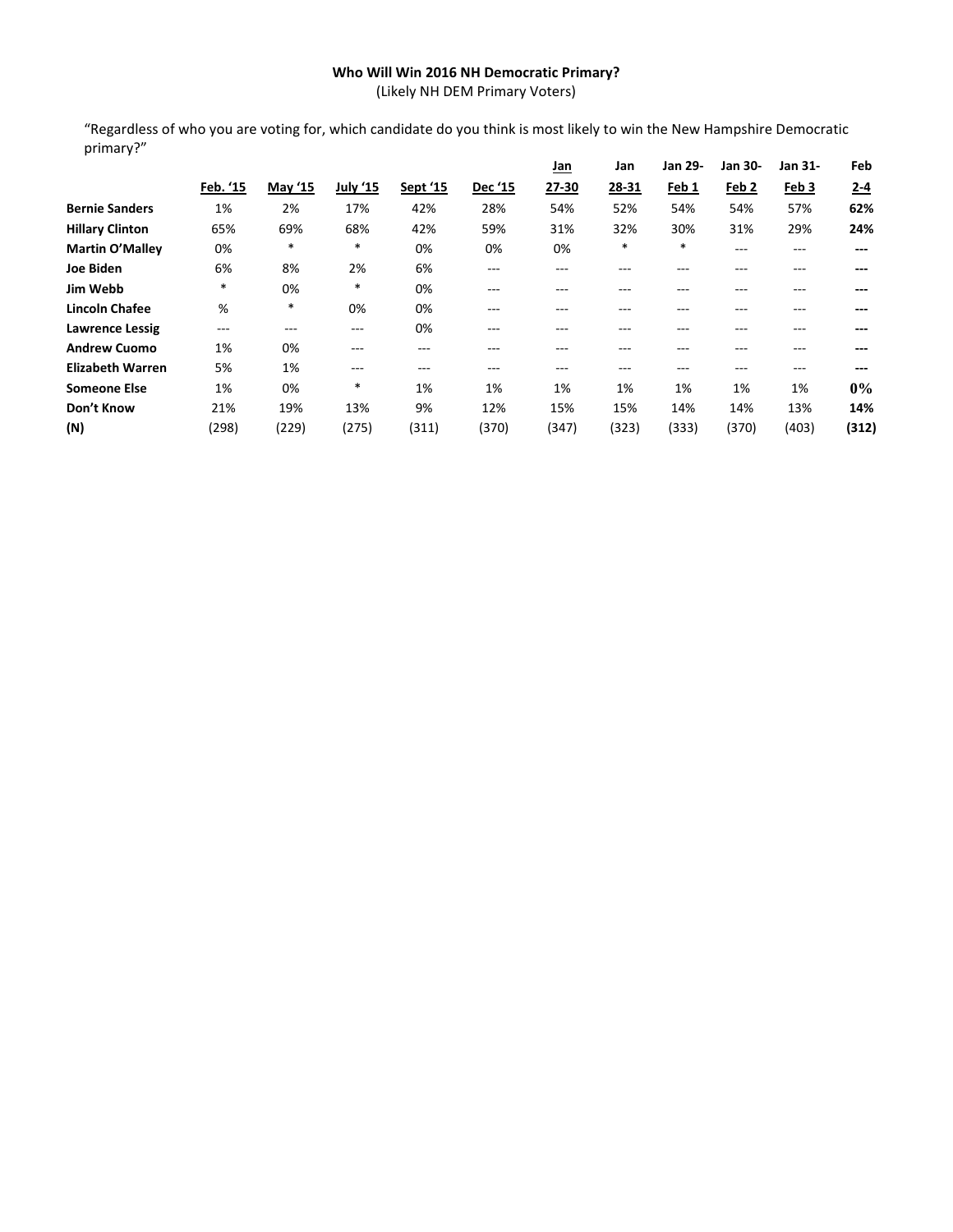## **Who Will Win 2016 NH Democratic Primary?**

(Likely NH DEM Primary Voters)

"Regardless of who you are voting for, which candidate do you think is most likely to win the New Hampshire Democratic primary?"

|                         |          |         |          |          |         | <u>Jan</u> | Jan    | Jan 29- | Jan 30-          | Jan 31-          | Feb     |
|-------------------------|----------|---------|----------|----------|---------|------------|--------|---------|------------------|------------------|---------|
|                         | Feb. '15 | May '15 | July '15 | Sept '15 | Dec '15 | 27-30      | 28-31  | Feb 1   | Feb <sub>2</sub> | Feb <sub>3</sub> | $2 - 4$ |
| <b>Bernie Sanders</b>   | 1%       | 2%      | 17%      | 42%      | 28%     | 54%        | 52%    | 54%     | 54%              | 57%              | 62%     |
| <b>Hillary Clinton</b>  | 65%      | 69%     | 68%      | 42%      | 59%     | 31%        | 32%    | 30%     | 31%              | 29%              | 24%     |
| <b>Martin O'Malley</b>  | 0%       | $\ast$  | *        | 0%       | 0%      | 0%         | $\ast$ | $\ast$  | $---$            | $---$            | ---     |
| Joe Biden               | 6%       | 8%      | 2%       | 6%       | $---$   | ---        | ---    | ---     | $- - -$          | ---              | ---     |
| Jim Webb                | $*$      | 0%      | *        | 0%       | $- - -$ | ---        | ---    |         | ---              |                  | ---     |
| <b>Lincoln Chafee</b>   | %        | $\ast$  | 0%       | 0%       | ---     | $- - -$    | $---$  | ---     | ---              | ---              | ---     |
| <b>Lawrence Lessig</b>  | $---$    | $- - -$ | ---      | 0%       | $- - -$ | $- - -$    | $---$  | ---     | $- - -$          | ---              | ---     |
| <b>Andrew Cuomo</b>     | 1%       | 0%      | ---      | ---      | $- - -$ | $- - -$    | $---$  | ---     | $---$            | ---              | ---     |
| <b>Elizabeth Warren</b> | 5%       | 1%      | ---      | ---      | ---     | ---        | $---$  | ---     | $---$            | ---              | ---     |
| <b>Someone Else</b>     | 1%       | 0%      | *        | 1%       | 1%      | 1%         | 1%     | 1%      | 1%               | 1%               | $0\%$   |
| Don't Know              | 21%      | 19%     | 13%      | 9%       | 12%     | 15%        | 15%    | 14%     | 14%              | 13%              | 14%     |
| (N)                     | (298)    | (229)   | (275)    | (311)    | (370)   | (347)      | (323)  | (333)   | (370)            | (403)            | (312)   |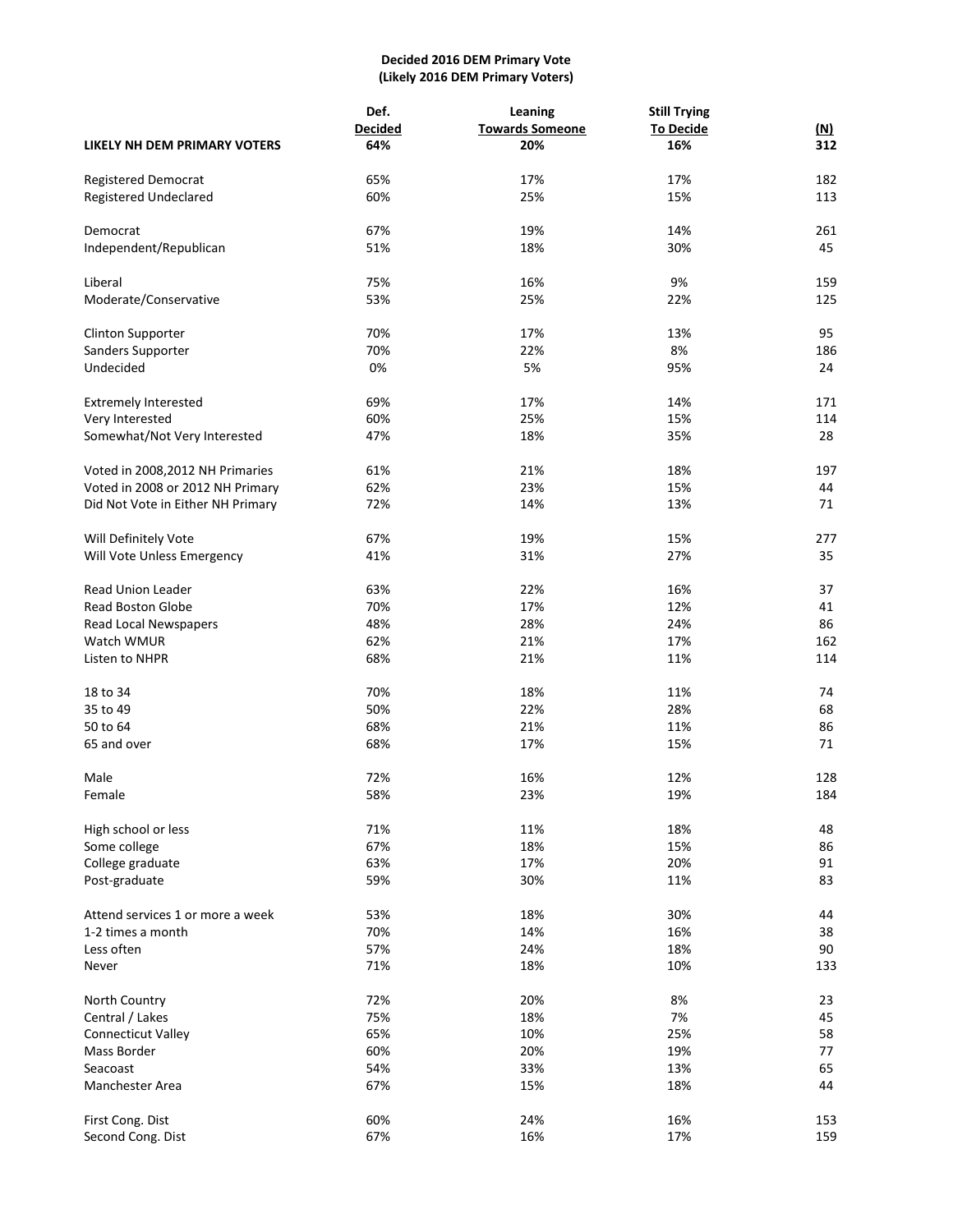## **Decided 2016 DEM Primary Vote (Likely 2016 DEM Primary Voters)**

|                                   | Def.           | Leaning                | <b>Still Trying</b> |            |
|-----------------------------------|----------------|------------------------|---------------------|------------|
|                                   | <b>Decided</b> | <b>Towards Someone</b> | <b>To Decide</b>    | <u>(N)</u> |
| LIKELY NH DEM PRIMARY VOTERS      | 64%            | 20%                    | 16%                 | 312        |
| <b>Registered Democrat</b>        | 65%            | 17%                    | 17%                 | 182        |
| <b>Registered Undeclared</b>      | 60%            | 25%                    | 15%                 | 113        |
| Democrat                          | 67%            | 19%                    | 14%                 | 261        |
| Independent/Republican            | 51%            | 18%                    | 30%                 | 45         |
|                                   |                |                        |                     |            |
| Liberal                           | 75%            | 16%                    | 9%                  | 159        |
| Moderate/Conservative             | 53%            | 25%                    | 22%                 | 125        |
| <b>Clinton Supporter</b>          | 70%            | 17%                    | 13%                 | 95         |
| Sanders Supporter                 | 70%            | 22%                    | 8%                  | 186        |
| Undecided                         | 0%             | 5%                     | 95%                 | 24         |
| <b>Extremely Interested</b>       | 69%            | 17%                    | 14%                 | 171        |
| Very Interested                   | 60%            | 25%                    | 15%                 | 114        |
| Somewhat/Not Very Interested      | 47%            | 18%                    | 35%                 | 28         |
| Voted in 2008, 2012 NH Primaries  | 61%            | 21%                    | 18%                 | 197        |
| Voted in 2008 or 2012 NH Primary  | 62%            | 23%                    | 15%                 | 44         |
| Did Not Vote in Either NH Primary | 72%            | 14%                    | 13%                 | 71         |
|                                   |                |                        |                     |            |
| Will Definitely Vote              | 67%            | 19%                    | 15%                 | 277        |
| Will Vote Unless Emergency        | 41%            | 31%                    | 27%                 | 35         |
| <b>Read Union Leader</b>          | 63%            | 22%                    | 16%                 | 37         |
| <b>Read Boston Globe</b>          | 70%            | 17%                    | 12%                 | 41         |
| Read Local Newspapers             | 48%            | 28%                    | 24%                 | 86         |
| Watch WMUR                        | 62%            | 21%                    | 17%                 | 162        |
| Listen to NHPR                    | 68%            | 21%                    | 11%                 | 114        |
| 18 to 34                          | 70%            | 18%                    | 11%                 | 74         |
| 35 to 49                          | 50%            | 22%                    | 28%                 | 68         |
| 50 to 64                          | 68%            | 21%                    | 11%                 | 86         |
| 65 and over                       | 68%            | 17%                    | 15%                 | 71         |
|                                   |                |                        |                     |            |
| Male                              | 72%            | 16%                    | 12%                 | 128        |
| Female                            | 58%            | 23%                    | 19%                 | 184        |
| High school or less               | 71%            | 11%                    | 18%                 | 48         |
| Some college                      | 67%            | 18%                    | 15%                 | 86         |
| College graduate                  | 63%            | 17%                    | 20%                 | 91         |
| Post-graduate                     | 59%            | 30%                    | 11%                 | 83         |
| Attend services 1 or more a week  | 53%            | 18%                    | 30%                 | 44         |
| 1-2 times a month                 | 70%            | 14%                    | 16%                 | 38         |
| Less often                        | 57%            | 24%                    | 18%                 | 90         |
| Never                             | 71%            | 18%                    | 10%                 | 133        |
|                                   |                |                        |                     |            |
| North Country                     | 72%            | 20%                    | 8%                  | 23         |
| Central / Lakes                   | 75%            | 18%                    | 7%                  | 45         |
| Connecticut Valley                | 65%            | 10%                    | 25%                 | 58         |
| Mass Border                       | 60%            | 20%                    | 19%                 | 77         |
| Seacoast                          | 54%            | 33%                    | 13%                 | 65         |
| Manchester Area                   | 67%            | 15%                    | 18%                 | 44         |
| First Cong. Dist                  | 60%            | 24%                    | 16%                 | 153        |
| Second Cong. Dist                 | 67%            | 16%                    | 17%                 | 159        |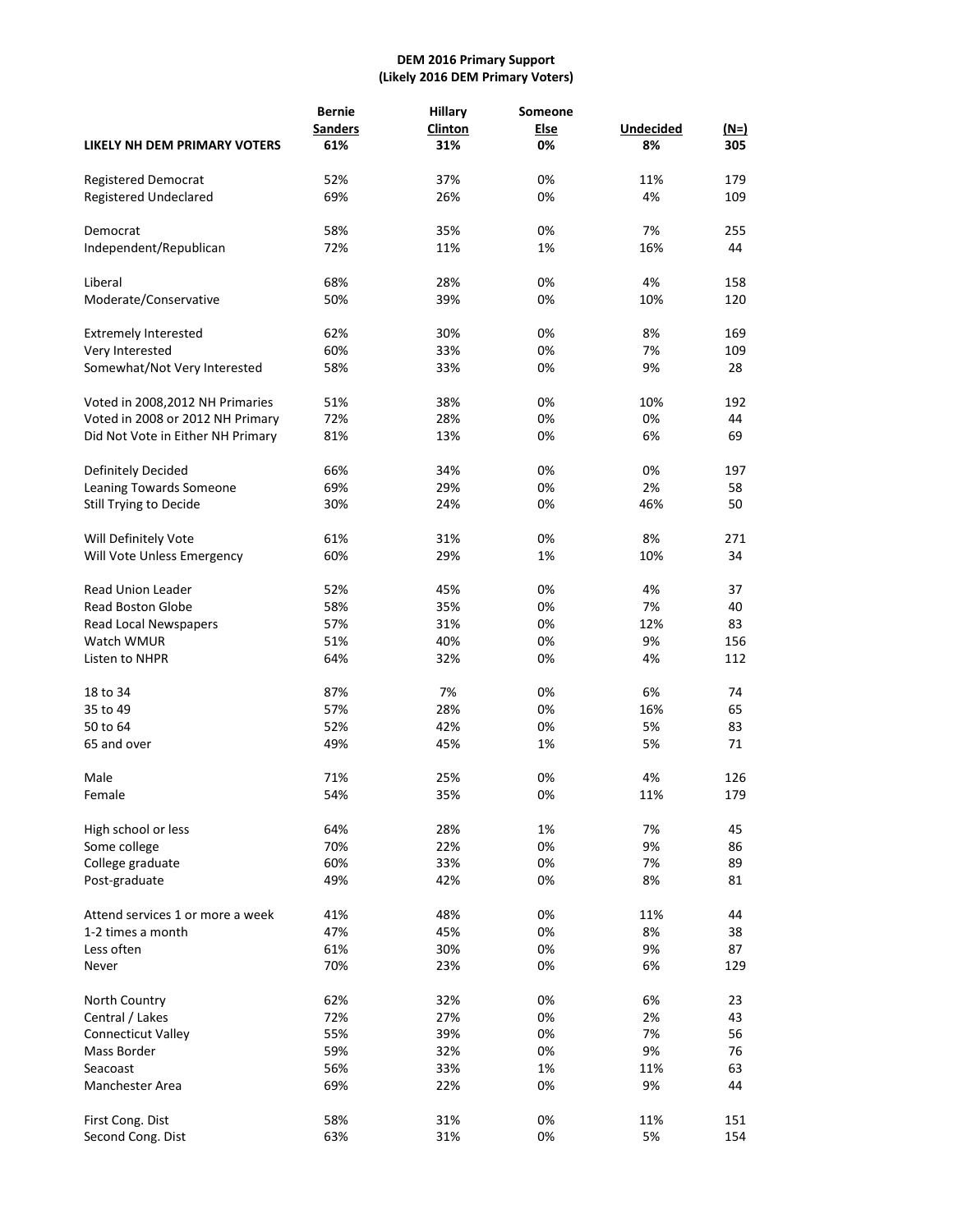#### **DEM 2016 Primary Support (Likely 2016 DEM Primary Voters)**

|                                                    | <b>Bernie</b><br><b>Sanders</b> | <b>Hillary</b><br>Clinton | Someone<br><b>Else</b> | <b>Undecided</b> | $(N=)$ |
|----------------------------------------------------|---------------------------------|---------------------------|------------------------|------------------|--------|
| LIKELY NH DEM PRIMARY VOTERS                       | 61%                             | 31%                       | 0%                     | 8%               | 305    |
| <b>Registered Democrat</b>                         | 52%                             | 37%                       | 0%                     | 11%              | 179    |
| <b>Registered Undeclared</b>                       | 69%                             | 26%                       | 0%                     | 4%               | 109    |
| Democrat                                           | 58%                             | 35%                       | 0%                     | 7%               | 255    |
| Independent/Republican                             | 72%                             | 11%                       | 1%                     | 16%              | 44     |
| Liberal                                            | 68%                             | 28%                       | 0%                     | 4%               | 158    |
| Moderate/Conservative                              | 50%                             | 39%                       | 0%                     | 10%              | 120    |
| <b>Extremely Interested</b>                        | 62%                             | 30%                       | 0%                     | 8%               | 169    |
| Very Interested                                    | 60%                             | 33%                       | 0%                     | 7%               | 109    |
| Somewhat/Not Very Interested                       | 58%                             | 33%                       | 0%                     | 9%               | 28     |
| Voted in 2008, 2012 NH Primaries                   | 51%                             | 38%                       | 0%                     | 10%              | 192    |
| Voted in 2008 or 2012 NH Primary                   | 72%                             | 28%                       | 0%                     | 0%               | 44     |
| Did Not Vote in Either NH Primary                  | 81%                             | 13%                       | 0%                     | 6%               | 69     |
|                                                    |                                 |                           |                        |                  |        |
| Definitely Decided                                 | 66%                             | 34%                       | 0%                     | 0%               | 197    |
| Leaning Towards Someone                            | 69%                             | 29%                       | 0%                     | 2%               | 58     |
| Still Trying to Decide                             | 30%                             | 24%                       | 0%                     | 46%              | 50     |
|                                                    | 61%                             | 31%                       | 0%                     | 8%               | 271    |
| Will Definitely Vote<br>Will Vote Unless Emergency | 60%                             | 29%                       | 1%                     | 10%              | 34     |
|                                                    |                                 |                           |                        |                  |        |
| <b>Read Union Leader</b>                           | 52%                             | 45%                       | 0%                     | 4%               | 37     |
| <b>Read Boston Globe</b>                           | 58%                             | 35%                       | 0%                     | 7%               | 40     |
| Read Local Newspapers                              | 57%                             | 31%                       | 0%                     | 12%              | 83     |
| Watch WMUR                                         | 51%                             | 40%                       | 0%                     | 9%               | 156    |
| Listen to NHPR                                     | 64%                             | 32%                       | 0%                     | 4%               | 112    |
| 18 to 34                                           | 87%                             | 7%                        | 0%                     | 6%               | 74     |
| 35 to 49                                           | 57%                             | 28%                       | 0%                     | 16%              | 65     |
| 50 to 64                                           | 52%                             | 42%                       | 0%                     | 5%               | 83     |
| 65 and over                                        | 49%                             | 45%                       | 1%                     | 5%               | 71     |
| Male                                               | 71%                             | 25%                       | 0%                     | 4%               | 126    |
| Female                                             | 54%                             | 35%                       | 0%                     | 11%              | 179    |
|                                                    |                                 |                           |                        |                  |        |
| High school or less                                | 64%                             | 28%                       | 1%                     | 7%               | 45     |
| Some college                                       | 70%                             | 22%                       | 0%                     | 9%               | 86     |
| College graduate                                   | 60%                             | 33%                       | 0%                     | 7%               | 89     |
| Post-graduate                                      | 49%                             | 42%                       | 0%                     | 8%               | 81     |
| Attend services 1 or more a week                   | 41%                             | 48%                       | 0%                     | 11%              | 44     |
| 1-2 times a month                                  | 47%                             | 45%                       | 0%                     | 8%               | 38     |
| Less often                                         | 61%                             | 30%                       | 0%                     | 9%               | 87     |
| Never                                              | 70%                             | 23%                       | 0%                     | 6%               | 129    |
|                                                    |                                 |                           |                        |                  |        |
| North Country                                      | 62%                             | 32%                       | 0%                     | 6%               | 23     |
| Central / Lakes                                    | 72%                             | 27%                       | 0%                     | 2%               | 43     |
| Connecticut Valley                                 | 55%                             | 39%                       | 0%                     | 7%               | 56     |
| Mass Border                                        | 59%                             | 32%                       | 0%                     | 9%               | 76     |
| Seacoast                                           | 56%                             | 33%                       | 1%                     | 11%              | 63     |
| Manchester Area                                    | 69%                             | 22%                       | 0%                     | 9%               | 44     |
| First Cong. Dist                                   | 58%                             | 31%                       | 0%                     | 11%              | 151    |
| Second Cong. Dist                                  | 63%                             | 31%                       | 0%                     | 5%               | 154    |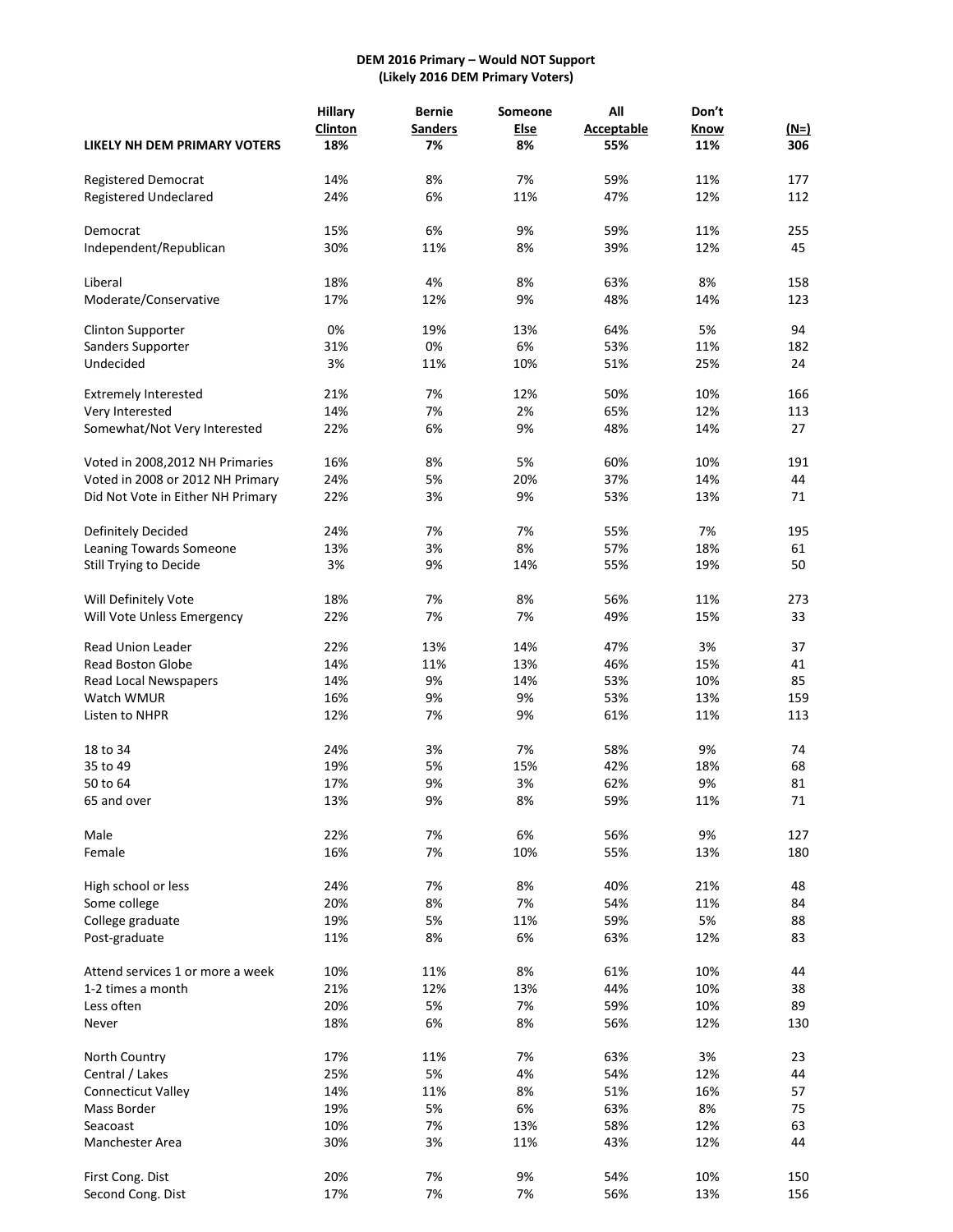#### **DEM 2016 Primary – Would NOT Support (Likely 2016 DEM Primary Voters)**

|                                   | <b>Hillary</b> | <b>Bernie</b>  | Someone     | All               | Don't     |        |
|-----------------------------------|----------------|----------------|-------------|-------------------|-----------|--------|
|                                   | Clinton        | <b>Sanders</b> | <b>Else</b> | <b>Acceptable</b> | Know      | $(N=)$ |
| LIKELY NH DEM PRIMARY VOTERS      | 18%            | 7%             | 8%          | 55%               | 11%       | 306    |
| Registered Democrat               | 14%            | 8%             | 7%          | 59%               | 11%       | 177    |
| <b>Registered Undeclared</b>      | 24%            | 6%             | 11%         | 47%               | 12%       | 112    |
|                                   |                |                |             |                   |           |        |
| Democrat                          | 15%            | 6%             | 9%          | 59%               | 11%       | 255    |
| Independent/Republican            | 30%            | 11%            | 8%          | 39%               | 12%       | 45     |
| Liberal                           | 18%            | 4%             | 8%          | 63%               | 8%        | 158    |
| Moderate/Conservative             | 17%            | 12%            | 9%          | 48%               | 14%       | 123    |
| Clinton Supporter                 | 0%             | 19%            | 13%         | 64%               | 5%        | 94     |
| Sanders Supporter                 | 31%            | 0%             | 6%          | 53%               | 11%       | 182    |
| Undecided                         | 3%             | 11%            | 10%         | 51%               | 25%       | 24     |
| <b>Extremely Interested</b>       | 21%            | 7%             | 12%         | 50%               | 10%       | 166    |
| Very Interested                   | 14%            | 7%             | 2%          | 65%               | 12%       | 113    |
| Somewhat/Not Very Interested      | 22%            | 6%             | 9%          | 48%               | 14%       | 27     |
|                                   |                |                |             |                   |           |        |
| Voted in 2008, 2012 NH Primaries  | 16%            | 8%             | 5%          | 60%               | 10%       | 191    |
| Voted in 2008 or 2012 NH Primary  | 24%            | 5%             | 20%         | 37%               | 14%       | 44     |
| Did Not Vote in Either NH Primary | 22%            | 3%             | 9%          | 53%               | 13%       | 71     |
| Definitely Decided                | 24%            | 7%             | 7%          | 55%               | 7%        | 195    |
| Leaning Towards Someone           | 13%            | 3%             | 8%          | 57%               | 18%       | 61     |
| Still Trying to Decide            | 3%             | 9%             | 14%         | 55%               | 19%       | 50     |
| Will Definitely Vote              | 18%            | 7%             | 8%          | 56%               | 11%       | 273    |
| Will Vote Unless Emergency        | 22%            | 7%             | 7%          | 49%               | 15%       | 33     |
|                                   |                |                |             |                   |           |        |
| Read Union Leader                 | 22%<br>14%     | 13%<br>11%     | 14%<br>13%  | 47%<br>46%        | 3%<br>15% | 37     |
| <b>Read Boston Globe</b>          |                |                |             |                   |           | 41     |
| Read Local Newspapers             | 14%            | 9%             | 14%         | 53%               | 10%       | 85     |
| Watch WMUR                        | 16%            | 9%             | 9%          | 53%               | 13%       | 159    |
| Listen to NHPR                    | 12%            | 7%             | 9%          | 61%               | 11%       | 113    |
| 18 to 34                          | 24%            | 3%             | 7%          | 58%               | 9%        | 74     |
| 35 to 49                          | 19%            | 5%             | 15%         | 42%               | 18%       | 68     |
| 50 to 64                          | 17%            | 9%             | 3%          | 62%               | 9%        | 81     |
| 65 and over                       | 13%            | 9%             | 8%          | 59%               | 11%       | 71     |
| Male                              | 22%            | 7%             | 6%          | 56%               | 9%        | 127    |
| Female                            | 16%            | 7%             | 10%         | 55%               | 13%       | 180    |
| High school or less               | 24%            | 7%             | 8%          | 40%               | 21%       | 48     |
| Some college                      | 20%            | 8%             | 7%          | 54%               | 11%       | 84     |
| College graduate                  | 19%            | 5%             | 11%         | 59%               | 5%        | 88     |
| Post-graduate                     | 11%            | 8%             | 6%          | 63%               | 12%       | 83     |
|                                   |                |                |             |                   |           |        |
| Attend services 1 or more a week  | 10%            | 11%            | 8%          | 61%               | 10%       | 44     |
| 1-2 times a month                 | 21%            | 12%            | 13%         | 44%               | 10%       | 38     |
| Less often                        | 20%            | 5%             | 7%          | 59%               | 10%       | 89     |
| Never                             | 18%            | 6%             | 8%          | 56%               | 12%       | 130    |
| North Country                     | 17%            | 11%            | 7%          | 63%               | 3%        | 23     |
| Central / Lakes                   | 25%            | 5%             | 4%          | 54%               | 12%       | 44     |
| <b>Connecticut Valley</b>         | 14%            | 11%            | 8%          | 51%               | 16%       | 57     |
| Mass Border                       | 19%            | 5%             | 6%          | 63%               | 8%        | 75     |
| Seacoast                          | 10%            | 7%             | 13%         | 58%               | 12%       | 63     |
| Manchester Area                   | 30%            | 3%             | 11%         | 43%               | 12%       | 44     |
| First Cong. Dist                  | 20%            | 7%             | 9%          | 54%               | 10%       | 150    |
| Second Cong. Dist                 | 17%            | 7%             | 7%          | 56%               | 13%       | 156    |
|                                   |                |                |             |                   |           |        |